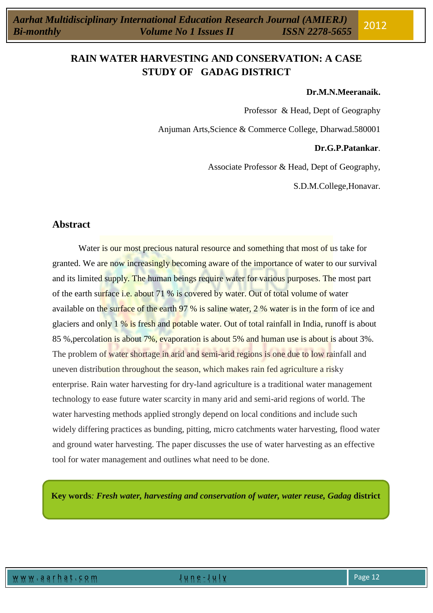#### **Dr.M.N.Meeranaik.**

Professor & Head, Dept of Geography

Anjuman Arts,Science & Commerce College, Dharwad.580001

## **Dr.G.P.Patankar**.

Associate Professor & Head, Dept of Geography,

S.D.M.College,Honavar.

# **Abstract**

Water is our most precious natural resource and something that most of us take for granted. We are now increasingly becoming aware of the importance of water to our survival and its limited supply. The human beings require water for various purposes. The most part of the earth surface i.e. about 71 % is covered by water. Out of total volume of water available on the surface of the earth 97 % is saline water, 2 % water is in the form of ice and glaciers and only 1 % is fresh and potable water. Out of total rainfall in India, runoff is about 85 %, percolation is about 7%, evaporation is about 5% and human use is about is about 3%. The problem of water shortage in arid and semi-arid regions is one due to low rainfall and uneven distribution throughout the season, which makes rain fed agriculture a risky enterprise. Rain water harvesting for dry-land agriculture is a traditional water management technology to ease future water scarcity in many arid and semi-arid regions of world. The water harvesting methods applied strongly depend on local conditions and include such widely differing practices as bunding, pitting, micro catchments water harvesting, flood water and ground water harvesting. The paper discusses the use of water harvesting as an effective tool for water management and outlines what need to be done.

**Key words***: Fresh water, harvesting and conservation of water, water reuse, Gadag* **district**

.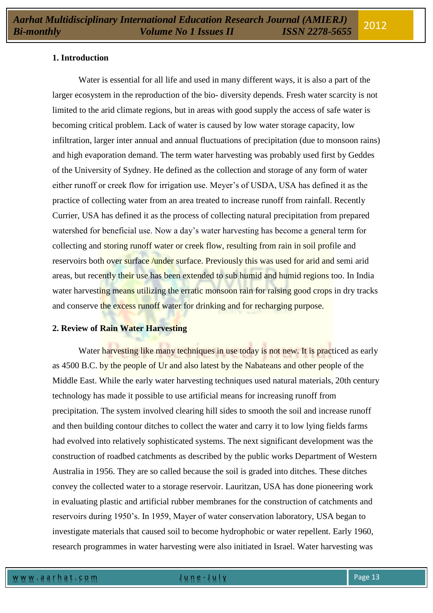## **1. Introduction**

Water is essential for all life and used in many different ways, it is also a part of the larger ecosystem in the reproduction of the bio- diversity depends. Fresh water scarcity is not limited to the arid climate regions, but in areas with good supply the access of safe water is becoming critical problem. Lack of water is caused by low water storage capacity, low infiltration, larger inter annual and annual fluctuations of precipitation (due to monsoon rains) and high evaporation demand. The term water harvesting was probably used first by Geddes of the University of Sydney. He defined as the collection and storage of any form of water either runoff or creek flow for irrigation use. Meyer's of USDA, USA has defined it as the practice of collecting water from an area treated to increase runoff from rainfall. Recently Currier, USA has defined it as the process of collecting natural precipitation from prepared watershed for beneficial use. Now a day's water harvesting has become a general term for collecting and storing runoff water or creek flow, resulting from rain in soil profile and reservoirs both over surface /under surface. Previously this was used for arid and semi arid areas, but recently their use has been extended to sub humid and humid regions too. In India water harvesting means utilizing the erratic monsoon rain for raising good crops in dry tracks and conserve the excess runoff water for drinking and for recharging purpose.

#### **2. Review of Rain Water Harvesting**

Water harvesting like many techniques in use today is not new. It is practiced as early as 4500 B.C. by the people of Ur and also latest by the Nabateans and other people of the Middle East. While the early water harvesting techniques used natural materials, 20th century technology has made it possible to use artificial means for increasing runoff from precipitation. The system involved clearing hill sides to smooth the soil and increase runoff and then building contour ditches to collect the water and carry it to low lying fields farms had evolved into relatively sophisticated systems. The next significant development was the construction of roadbed catchments as described by the public works Department of Western Australia in 1956. They are so called because the soil is graded into ditches. These ditches convey the collected water to a storage reservoir. Lauritzan, USA has done pioneering work in evaluating plastic and artificial rubber membranes for the construction of catchments and reservoirs during 1950's. In 1959, Mayer of water conservation laboratory, USA began to investigate materials that caused soil to become hydrophobic or water repellent. Early 1960, research programmes in water harvesting were also initiated in Israel. Water harvesting was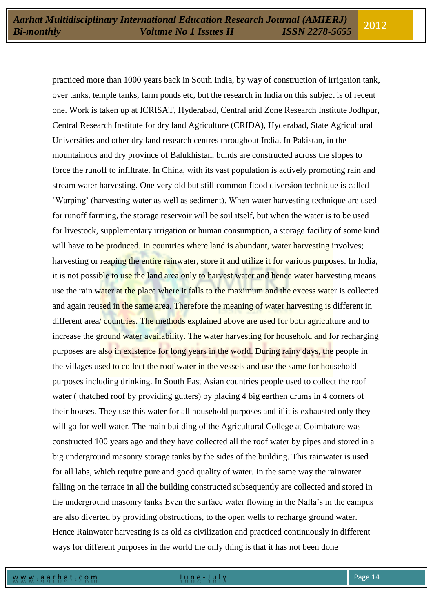practiced more than 1000 years back in South India, by way of construction of irrigation tank, over tanks, temple tanks, farm ponds etc, but the research in India on this subject is of recent one. Work is taken up at ICRISAT, Hyderabad, Central arid Zone Research Institute Jodhpur, Central Research Institute for dry land Agriculture (CRIDA), Hyderabad, State Agricultural Universities and other dry land research centres throughout India. In Pakistan, in the mountainous and dry province of Balukhistan, bunds are constructed across the slopes to force the runoff to infiltrate. In China, with its vast population is actively promoting rain and stream water harvesting. One very old but still common flood diversion technique is called 'Warping' (harvesting water as well as sediment). When water harvesting technique are used for runoff farming, the storage reservoir will be soil itself, but when the water is to be used for livestock, supplementary irrigation or human consumption, a storage facility of some kind will have to be produced. In countries where land is abundant, water harvesting involves; harvesting or reaping the entire rainwater, store it and utilize it for various purposes. In India, it is not possible to use the land area only to harvest water and hence water harvesting means use the rain water at the place where it falls to the maximum and the excess water is collected and again reused in the same area. Therefore the meaning of water harvesting is different in different area/ countries. The methods explained above are used for both agriculture and to increase the ground water availability. The water harvesting for household and for recharging purposes are also in existence for long years in the world. During rainy days, the people in the villages used to collect the roof water in the vessels and use the same for household purposes including drinking. In South East Asian countries people used to collect the roof water ( thatched roof by providing gutters) by placing 4 big earthen drums in 4 corners of their houses. They use this water for all household purposes and if it is exhausted only they will go for well water. The main building of the Agricultural College at Coimbatore was constructed 100 years ago and they have collected all the roof water by pipes and stored in a big underground masonry storage tanks by the sides of the building. This rainwater is used for all labs, which require pure and good quality of water. In the same way the rainwater falling on the terrace in all the building constructed subsequently are collected and stored in the underground masonry tanks Even the surface water flowing in the Nalla's in the campus are also diverted by providing obstructions, to the open wells to recharge ground water. Hence Rainwater harvesting is as old as civilization and practiced continuously in different ways for different purposes in the world the only thing is that it has not been done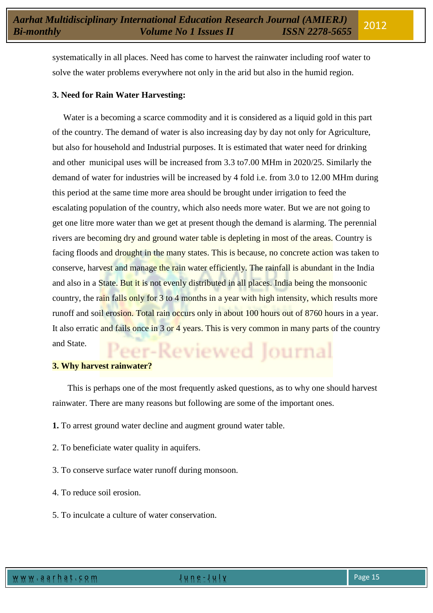systematically in all places. Need has come to harvest the rainwater including roof water to solve the water problems everywhere not only in the arid but also in the humid region.

# **3. Need for Rain Water Harvesting:**

Water is a becoming a scarce commodity and it is considered as a liquid gold in this part of the country. The demand of water is also increasing day by day not only for Agriculture, but also for household and Industrial purposes. It is estimated that water need for drinking and other municipal uses will be increased from 3.3 to7.00 MHm in 2020/25. Similarly the demand of water for industries will be increased by 4 fold i.e. from 3.0 to 12.00 MHm during this period at the same time more area should be brought under irrigation to feed the escalating population of the country, which also needs more water. But we are not going to get one litre more water than we get at present though the demand is alarming. The perennial rivers are becoming dry and ground water table is depleting in most of the areas. Country is facing floods and drought in the many states. This is because, no concrete action was taken to conserve, harvest and manage the rain water efficiently. The rainfall is abundant in the India and also in a State. But it is not evenly distributed in all places. India being the monsoonic country, the rain falls only for 3 to 4 months in a year with high intensity, which results more runoff and soil erosion. Total rain occurs only in about 100 hours out of 8760 hours in a year. It also erratic and fails once in 3 or 4 years. This is very common in many parts of the country and State. and State.<br>**3. Why harvest rainwater?** 

This is perhaps one of the most frequently asked questions, as to why one should harvest rainwater. There are many reasons but following are some of the important ones.

- **1.** To arrest ground water decline and augment ground water table.
- 2. To beneficiate water quality in aquifers.
- 3. To conserve surface water runoff during monsoon.
- 4. To reduce soil erosion.
- 5. To inculcate a culture of water conservation.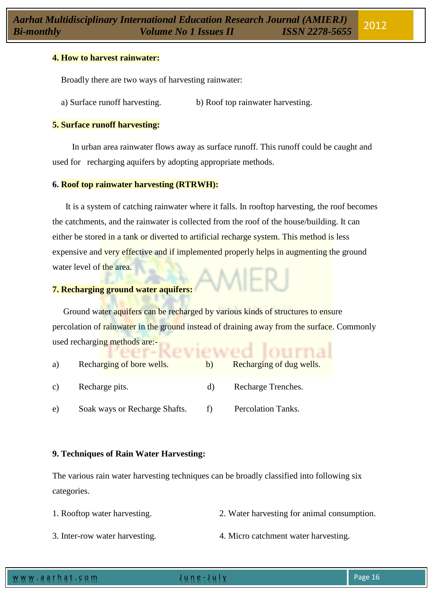### **4. How to harvest rainwater:**

Broadly there are two ways of harvesting rainwater:

a) Surface runoff harvesting. b) Roof top rainwater harvesting.

#### **5. Surface runoff harvesting:**

 In urban area rainwater flows away as surface runoff. This runoff could be caught and used for recharging aquifers by adopting appropriate methods.

#### **6. Roof top rainwater harvesting (RTRWH):**

It is a system of catching rainwater where it falls. In rooftop harvesting, the roof becomes the catchments, and the rainwater is collected from the roof of the house/building. It can either be stored in a tank or diverted to artificial recharge system. This method is less expensive and very effective and if implemented properly helps in augmenting the ground water level of the area.

# **7. Recharging ground water aquifers:**

 Ground water aquifers can be recharged by various kinds of structures to ensure percolation of rainwater in the ground instead of draining away from the surface. Commonly used recharging methods are:eviewed Iourna

| a) | Recharging of bore wells.     | b) | Recharging of dug wells. |
|----|-------------------------------|----|--------------------------|
| C) | Recharge pits.                | d) | Recharge Trenches.       |
| e) | Soak ways or Recharge Shafts. |    | Percolation Tanks.       |

## **9. Techniques of Rain Water Harvesting:**

The various rain water harvesting techniques can be broadly classified into following six categories.

- 1. Rooftop water harvesting. 2. Water harvesting for animal consumption.
- 3. Inter-row water harvesting. 4. Micro catchment water harvesting.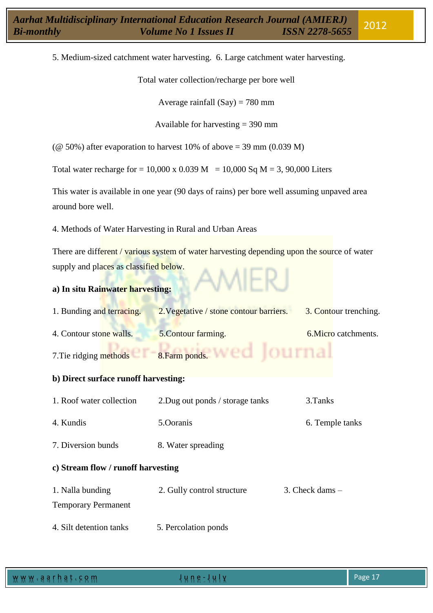5. Medium-sized catchment water harvesting. 6. Large catchment water harvesting.

Total water collection/recharge per bore well

Average rainfall  $(Say) = 780$  mm

Available for harvesting = 390 mm

( $\omega$  50%) after evaporation to harvest 10% of above = 39 mm (0.039 M)

Total water recharge for = 10,000 x 0.039 M = 10,000 Sq M = 3, 90,000 Liters

This water is available in one year (90 days of rains) per bore well assuming unpaved area around bore well.

4. Methods of Water Harvesting in Rural and Urban Areas

There are different / various system of water harvesting depending upon the source of water supply and places as classified below.

# **a) In situ Rainwater harvesting:**

| 1. Bunding and terracing.            | 2. Vegetative / stone contour barriers.       | 3. Contour trenching. |  |  |  |  |
|--------------------------------------|-----------------------------------------------|-----------------------|--|--|--|--|
| 4. Contour stone walls.              | 5. Contour farming.                           | 6. Micro catchments.  |  |  |  |  |
|                                      | 7. Tie ridging methods $C1 - 8$ . Farm ponds. |                       |  |  |  |  |
| b) Direct surface runoff harvesting: |                                               |                       |  |  |  |  |
| 1. Roof water collection             | 2. Dug out ponds / storage tanks              | 3. Tanks              |  |  |  |  |
| 4. Kundis                            | 5.Ooranis                                     | 6. Temple tanks       |  |  |  |  |
| 7. Diversion bunds                   | 8. Water spreading                            |                       |  |  |  |  |
| c) Stream flow / runoff harvesting   |                                               |                       |  |  |  |  |
| 1. Nalla bunding                     | 2. Gully control structure                    | $3.$ Check dams $-$   |  |  |  |  |
| <b>Temporary Permanent</b>           |                                               |                       |  |  |  |  |
| 4. Silt detention tanks              | 5. Percolation ponds                          |                       |  |  |  |  |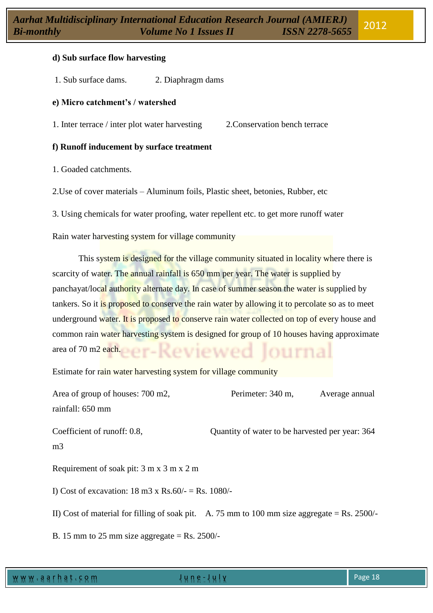### **d) Sub surface flow harvesting**

1. Sub surface dams. 2. Diaphragm dams

#### **e) Micro catchment's / watershed**

1. Inter terrace / inter plot water harvesting 2.Conservation bench terrace

#### **f) Runoff inducement by surface treatment**

1. Goaded catchments.

2.Use of cover materials – Aluminum foils, Plastic sheet, betonies, Rubber, etc

3. Using chemicals for water proofing, water repellent etc. to get more runoff water

Rain water harvesting system for village community

This system is designed for the village community situated in locality where there is scarcity of water. The annual rainfall is 650 mm per year. The water is supplied by panchayat/local authority alternate day. In case of summer season the water is supplied by tankers. So it is proposed to conserve the rain water by allowing it to percolate so as to meet underground water. It is proposed to conserve rain water collected on top of every house and common rain water harvesting system is designed for group of 10 houses having approximate area of 70 m2 each.

Estimate for rain water harvesting system for village community

| Area of group of houses: 700 m2,                                                               | Perimeter: 340 m,                               | Average annual |  |  |  |
|------------------------------------------------------------------------------------------------|-------------------------------------------------|----------------|--|--|--|
| rainfall: 650 mm                                                                               |                                                 |                |  |  |  |
| Coefficient of runoff: 0.8,<br>m <sub>3</sub>                                                  | Quantity of water to be harvested per year: 364 |                |  |  |  |
| Requirement of soak pit: 3 m x 3 m x 2 m                                                       |                                                 |                |  |  |  |
| I) Cost of excavation: $18 \text{ m}3 \times \text{Rs}.60/- = \text{Rs}.1080/-$                |                                                 |                |  |  |  |
| II) Cost of material for filling of soak pit. A. 75 mm to 100 mm size aggregate = Rs. $2500/-$ |                                                 |                |  |  |  |
| B. 15 mm to 25 mm size aggregate = Rs. 2500/-                                                  |                                                 |                |  |  |  |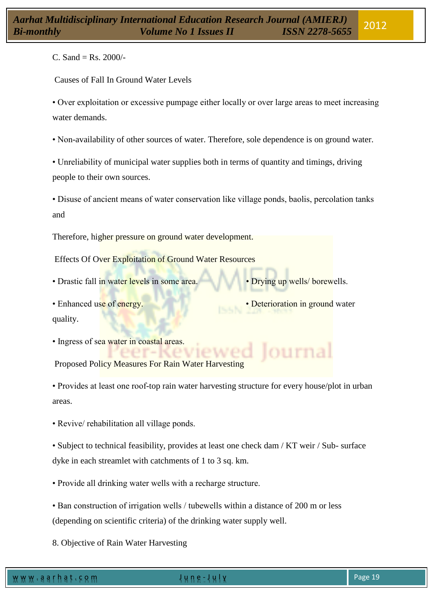C. Sand = Rs.  $2000/-$ 

Causes of Fall In Ground Water Levels

• Over exploitation or excessive pumpage either locally or over large areas to meet increasing water demands.

• Non-availability of other sources of water. Therefore, sole dependence is on ground water.

• Unreliability of municipal water supplies both in terms of quantity and timings, driving people to their own sources.

• Disuse of ancient means of water conservation like village ponds, baolis, percolation tanks and

Therefore, higher pressure on ground water development.

Effects Of Over Exploitation of Ground Water Resources

- Drastic fall in water levels in some area. Drying up wells/ borewells.
- quality.
- Ingress of sea water in coastal areas.

Proposed Policy Measures For Rain Water Harvesting

• Provides at least one roof-top rain water harvesting structure for every house/plot in urban areas.

• Revive/ rehabilitation all village ponds.

• Subject to technical feasibility, provides at least one check dam / KT weir / Sub- surface dyke in each streamlet with catchments of 1 to 3 sq. km.

• Provide all drinking water wells with a recharge structure.

• Ban construction of irrigation wells / tubewells within a distance of 200 m or less (depending on scientific criteria) of the drinking water supply well.

8. Objective of Rain Water Harvesting

- 
- Enhanced use of energy. Deterioration in ground water

burnal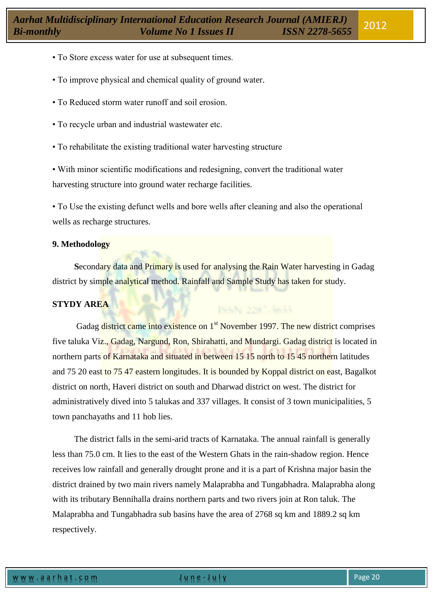- To Store excess water for use at subsequent times.
- To improve physical and chemical quality of ground water.
- To Reduced storm water runoff and soil erosion.
- To recycle urban and industrial wastewater etc.
- To rehabilitate the existing traditional water harvesting structure

• With minor scientific modifications and redesigning, convert the traditional water harvesting structure into ground water recharge facilities.

• To Use the existing defunct wells and bore wells after cleaning and also the operational wells as recharge structures.

## **9. Methodology**

 **S**econdary data and Primary is used for analysing the Rain Water harvesting in Gadag district by simple analytical method. Rainfall and Sample Study has taken for study.

ISSN 2387-3653

# **STYDY AREA**

Gadag district came into existence on 1<sup>st</sup> November 1997. The new district comprises five taluka Viz., Gadag, Nargund, Ron, Shirahatti, and Mundargi. Gadag district is located in northern parts of Karnataka and situated in between 15 15 north to 15 45 northern latitudes and 75 20 east to 75 47 eastern longitudes. It is bounded by Koppal district on east, Bagalkot district on north, Haveri district on south and Dharwad district on west. The district for administratively dived into 5 talukas and 337 villages. It consist of 3 town municipalities, 5 town panchayaths and 11 hob lies.

 The district falls in the semi-arid tracts of Karnataka. The annual rainfall is generally less than 75.0 cm. It lies to the east of the Western Ghats in the rain-shadow region. Hence receives low rainfall and generally drought prone and it is a part of Krishna major basin the district drained by two main rivers namely Malaprabha and Tungabhadra. Malaprabha along with its tributary Bennihalla drains northern parts and two rivers join at Ron taluk. The Malaprabha and Tungabhadra sub basins have the area of 2768 sq km and 1889.2 sq km respectively.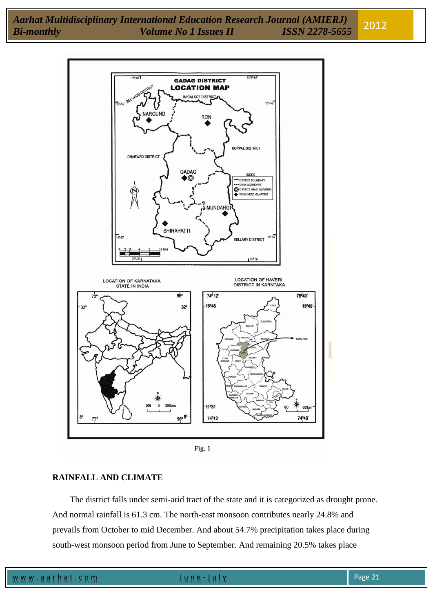

Fig. 1

# **RAINFALL AND CLIMATE**

 The district falls under semi-arid tract of the state and it is categorized as drought prone. And normal rainfall is 61.3 cm. The north-east monsoon contributes nearly 24.8% and prevails from October to mid December. And about 54.7% precipitation takes place during south-west monsoon period from June to September. And remaining 20.5% takes place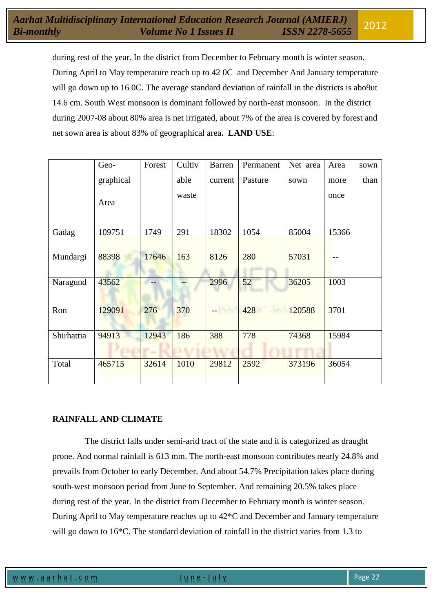during rest of the year. In the district from December to February month is winter season. During April to May temperature reach up to 42 0C and December And January temperature will go down up to 16 0C. The average standard deviation of rainfall in the districts is abo9ut 14.6 cm. South West monsoon is dominant followed by north-east monsoon. In the district during 2007-08 about 80% area is net irrigated, about 7% of the area is covered by forest and net sown area is about 83% of geographical area**. LAND USE**:

|            | Geo-      | Forest        | Cultiv | <b>Barren</b> | Permanent | Net area | Area  | sown |
|------------|-----------|---------------|--------|---------------|-----------|----------|-------|------|
|            | graphical |               | able   | current       | Pasture   | sown     | more  | than |
|            | Area      |               | waste  |               |           |          | once  |      |
| Gadag      | 109751    | 1749          | 291    | 18302         | 1054      | 85004    | 15366 |      |
| Mundargi   | 88398     | 17646         | 163    | 8126          | 280       | 57031    |       |      |
| Naragund   | 43562     |               |        | 2996          | 52        | 36205    | 1003  |      |
| Ron        | 129091    | 276           | 370    | - 55          | 428       | 120588   | 3701  |      |
| Shirhattia | 94913     | 12943<br>n an | 186    | 388           | 778       | 74368    | 15984 |      |
| Total      | 465715    | 32614         | 1010   | 29812         | 2592      | 373196   | 36054 |      |

# **RAINFALL AND CLIMATE**

 The district falls under semi-arid tract of the state and it is categorized as draught prone. And normal rainfall is 613 mm. The north-east monsoon contributes nearly 24.8% and prevails from October to early December. And about 54.7% Precipitation takes place during south-west monsoon period from June to September. And remaining 20.5% takes place during rest of the year. In the district from December to February month is winter season. During April to May temperature reaches up to 42\*C and December and January temperature will go down to 16<sup>\*</sup>C. The standard deviation of rainfall in the district varies from 1.3 to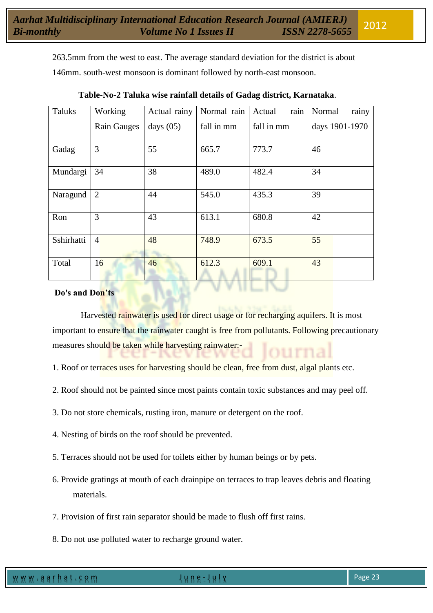263.5mm from the west to east. The average standard deviation for the district is about 146mm. south-west monsoon is dominant followed by north-east monsoon.

| Taluks     | Working        | Actual rainy | Normal rain | rain<br>Actual | rainy<br>Normal |
|------------|----------------|--------------|-------------|----------------|-----------------|
|            | Rain Gauges    | days $(05)$  | fall in mm  | fall in mm     | days 1901-1970  |
| Gadag      | 3              | 55           | 665.7       | 773.7          | 46              |
| Mundargi   | 34             | 38           | 489.0       | 482.4          | 34              |
| Naragund   | 2              | 44           | 545.0       | 435.3          | 39              |
| Ron        | 3              | 43           | 613.1       | 680.8          | 42              |
| Sshirhatti | $\overline{4}$ | 48           | 748.9       | 673.5          | 55              |
| Total      | 16             | 46           | 612.3       | 609.1          | 43              |

## **Table-No-2 Taluka wise rainfall details of Gadag district, Karnataka**.

# **Do's and Don'ts**

Harvested rainwater is used for direct usage or for recharging aquifers. It is most important to ensure that the rainwater caught is free from pollutants. Following precautionary measures should be taken while harvesting rainwater:-

- 1. Roof or terraces uses for harvesting should be clean, free from dust, algal plants etc.
- 2. Roof should not be painted since most paints contain toxic substances and may peel off.
- 3. Do not store chemicals, rusting iron, manure or detergent on the roof.
- 4. Nesting of birds on the roof should be prevented.
- 5. Terraces should not be used for toilets either by human beings or by pets.
- 6. Provide gratings at mouth of each drainpipe on terraces to trap leaves debris and floating materials.
- 7. Provision of first rain separator should be made to flush off first rains.
- 8. Do not use polluted water to recharge ground water.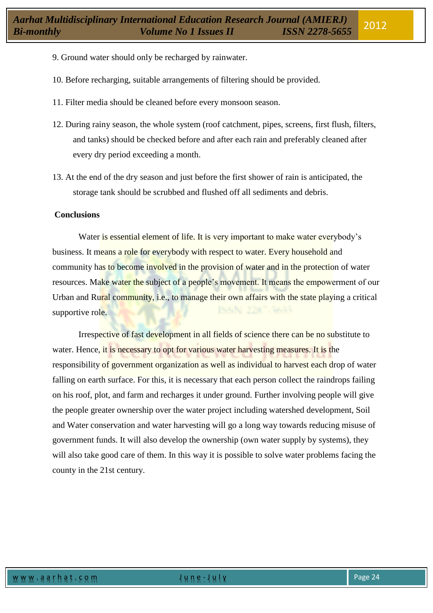- 9. Ground water should only be recharged by rainwater.
- 10. Before recharging, suitable arrangements of filtering should be provided.
- 11. Filter media should be cleaned before every monsoon season.
- 12. During rainy season, the whole system (roof catchment, pipes, screens, first flush, filters, and tanks) should be checked before and after each rain and preferably cleaned after every dry period exceeding a month.
- 13. At the end of the dry season and just before the first shower of rain is anticipated, the storage tank should be scrubbed and flushed off all sediments and debris.

#### **Conclusions**

Water is essential element of life. It is very important to make water everybody's business. It means a role for everybody with respect to water. Every household and community has to become involved in the provision of water and in the protection of water resources. Make water the subject of a people's movement. It means the empowerment of our Urban and Rural community, i.e., to manage their own affairs with the state playing a critical supportive role.

Irrespective of fast development in all fields of science there can be no substitute to water. Hence, it is necessary to opt for various water harvesting measures. It is the responsibility of government organization as well as individual to harvest each drop of water falling on earth surface. For this, it is necessary that each person collect the raindrops failing on his roof, plot, and farm and recharges it under ground. Further involving people will give the people greater ownership over the water project including watershed development, Soil and Water conservation and water harvesting will go a long way towards reducing misuse of government funds. It will also develop the ownership (own water supply by systems), they will also take good care of them. In this way it is possible to solve water problems facing the county in the 21st century.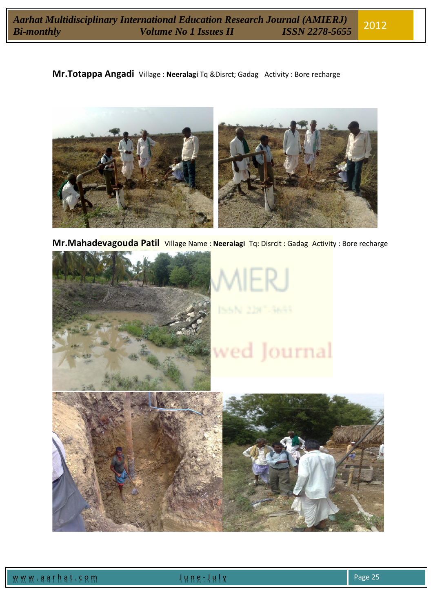**Mr.Totappa Angadi** Village : **Neeralagi** Tq &Disrct; Gadag Activity : Bore recharge



**Mr.Mahadevagouda Patil** Village Name : **Neeralagi** Tq: Disrcit : Gadag Activity : Bore recharge